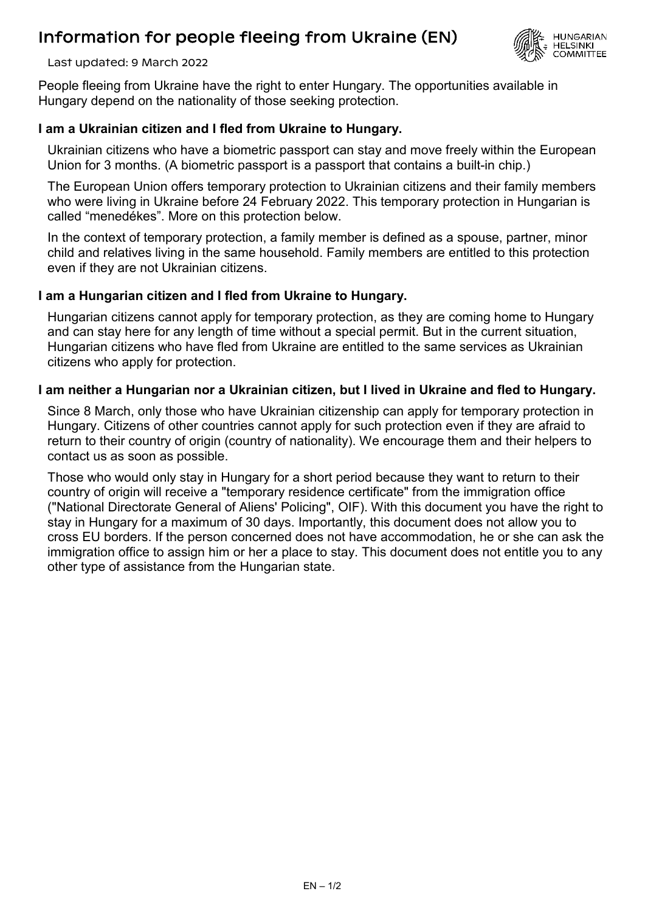# Information for people fleeing from Ukraine (EN)



Last updated: 9 March 2022

People fleeing from Ukraine have the right to enter Hungary. The opportunities available in Hungary depend on the nationality of those seeking protection.

#### **I am a Ukrainian citizen and I fled from Ukraine to Hungary.**

Ukrainian citizens who have a biometric passport can stay and move freely within the European Union for 3 months. (A biometric passport is a passport that contains a built-in chip.)

The European Union offers temporary protection to Ukrainian citizens and their family members who were living in Ukraine before 24 February 2022. This temporary protection in Hungarian is called "menedékes". More on this protection below.

In the context of temporary protection, a family member is defined as a spouse, partner, minor child and relatives living in the same household. Family members are entitled to this protection even if they are not Ukrainian citizens.

#### **I am a Hungarian citizen and I fled from Ukraine to Hungary.**

Hungarian citizens cannot apply for temporary protection, as they are coming home to Hungary and can stay here for any length of time without a special permit. But in the current situation, Hungarian citizens who have fled from Ukraine are entitled to the same services as Ukrainian citizens who apply for protection.

#### **I am neither a Hungarian nor a Ukrainian citizen, but I lived in Ukraine and fled to Hungary.**

Since 8 March, only those who have Ukrainian citizenship can apply for temporary protection in Hungary. Citizens of other countries cannot apply for such protection even if they are afraid to return to their country of origin (country of nationality). We encourage them and their helpers to contact us as soon as possible.

Those who would only stay in Hungary for a short period because they want to return to their country of origin will receive a "temporary residence certificate" from the immigration office ("National Directorate General of Aliens' Policing", OIF). With this document you have the right to stay in Hungary for a maximum of 30 days. Importantly, this document does not allow you to cross EU borders. If the person concerned does not have accommodation, he or she can ask the immigration office to assign him or her a place to stay. This document does not entitle you to any other type of assistance from the Hungarian state.